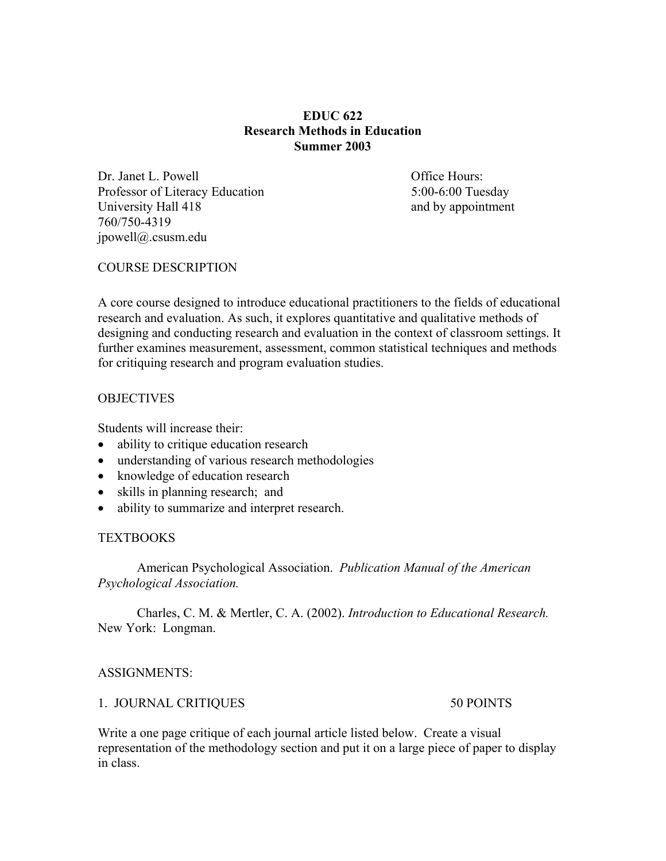## **EDUC 622 Research Methods in Education Summer 2003**

Dr. Janet L. Powell **Dr. Janet L. Powell Office Hours:** Professor of Literacy Education 5:00-6:00 Tuesday University Hall 418 and by appointment 760/750-4319 jpowell@.csusm.edu

## COURSE DESCRIPTION

A core course designed to introduce educational practitioners to the fields of educational research and evaluation. As such, it explores quantitative and qualitative methods of designing and conducting research and evaluation in the context of classroom settings. It further examines measurement, assessment, common statistical techniques and methods for critiquing research and program evaluation studies.

#### **OBJECTIVES**

Students will increase their:

- ability to critique education research
- understanding of various research methodologies
- knowledge of education research
- skills in planning research; and
- ability to summarize and interpret research.

## **TEXTBOOKS**

American Psychological Association. *Publication Manual of the American Psychological Association.*

Charles, C. M. & Mertler, C. A. (2002). *Introduction to Educational Research.*  New York: Longman.

## ASSIGNMENTS:

## 1. JOURNAL CRITIQUES 50 POINTS

Write a one page critique of each journal article listed below. Create a visual representation of the methodology section and put it on a large piece of paper to display in class.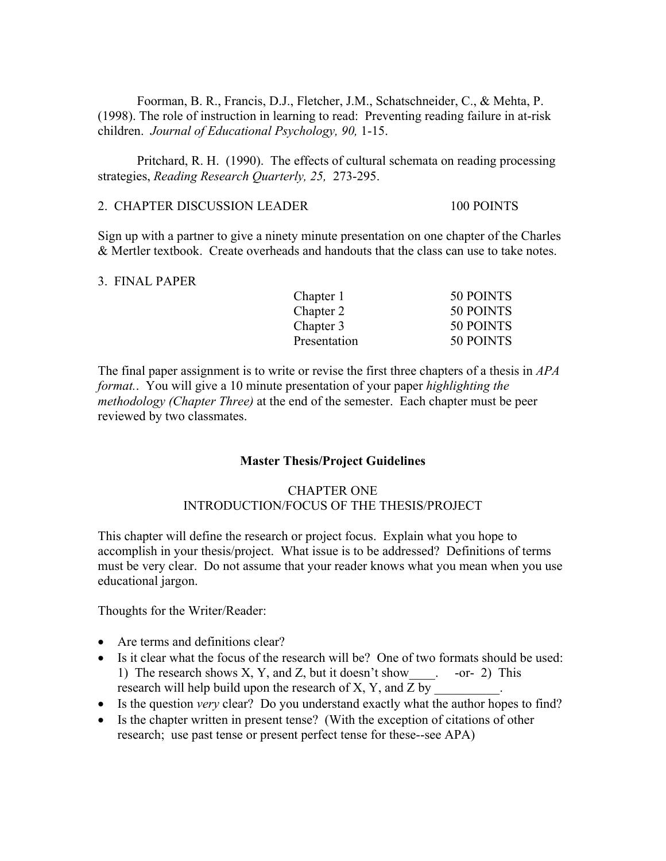Foorman, B. R., Francis, D.J., Fletcher, J.M., Schatschneider, C., & Mehta, P. (1998). The role of instruction in learning to read: Preventing reading failure in at-risk children. *Journal of Educational Psychology, 90,* 1-15.

Pritchard, R. H. (1990). The effects of cultural schemata on reading processing strategies, *Reading Research Quarterly, 25,* 273-295.

## 2. CHAPTER DISCUSSION LEADER 100 POINTS

Sign up with a partner to give a ninety minute presentation on one chapter of the Charles & Mertler textbook. Create overheads and handouts that the class can use to take notes.

#### 3. FINAL PAPER

| Chapter 1    | 50 POINTS |
|--------------|-----------|
| Chapter 2    | 50 POINTS |
| Chapter 3    | 50 POINTS |
| Presentation | 50 POINTS |

The final paper assignment is to write or revise the first three chapters of a thesis in *APA format.*. You will give a 10 minute presentation of your paper *highlighting the methodology (Chapter Three)* at the end of the semester. Each chapter must be peer reviewed by two classmates.

## **Master Thesis/Project Guidelines**

# CHAPTER ONE INTRODUCTION/FOCUS OF THE THESIS/PROJECT

This chapter will define the research or project focus. Explain what you hope to accomplish in your thesis/project. What issue is to be addressed? Definitions of terms must be very clear. Do not assume that your reader knows what you mean when you use educational jargon.

Thoughts for the Writer/Reader:

- Are terms and definitions clear?
- Is it clear what the focus of the research will be? One of two formats should be used: 1) The research shows X, Y, and Z, but it doesn't show\_\_\_\_. -or- 2) This research will help build upon the research of  $X, Y$ , and  $Z$  by
- Is the question *very* clear? Do you understand exactly what the author hopes to find?
- Is the chapter written in present tense? (With the exception of citations of other research; use past tense or present perfect tense for these--see APA)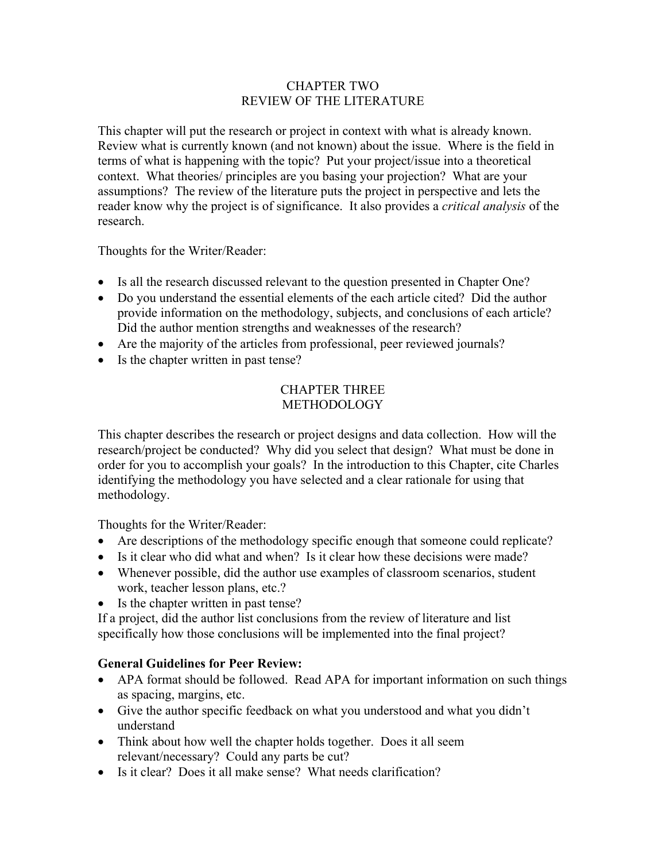## CHAPTER TWO REVIEW OF THE LITERATURE

This chapter will put the research or project in context with what is already known. Review what is currently known (and not known) about the issue. Where is the field in terms of what is happening with the topic? Put your project/issue into a theoretical context. What theories/ principles are you basing your projection? What are your assumptions? The review of the literature puts the project in perspective and lets the reader know why the project is of significance. It also provides a *critical analysis* of the research.

Thoughts for the Writer/Reader:

- Is all the research discussed relevant to the question presented in Chapter One?
- Do you understand the essential elements of the each article cited? Did the author provide information on the methodology, subjects, and conclusions of each article? Did the author mention strengths and weaknesses of the research?
- Are the majority of the articles from professional, peer reviewed journals?
- Is the chapter written in past tense?

# CHAPTER THREE **METHODOLOGY**

This chapter describes the research or project designs and data collection. How will the research/project be conducted? Why did you select that design? What must be done in order for you to accomplish your goals? In the introduction to this Chapter, cite Charles identifying the methodology you have selected and a clear rationale for using that methodology.

Thoughts for the Writer/Reader:

- Are descriptions of the methodology specific enough that someone could replicate?
- Is it clear who did what and when? Is it clear how these decisions were made?
- Whenever possible, did the author use examples of classroom scenarios, student work, teacher lesson plans, etc.?
- Is the chapter written in past tense?

If a project, did the author list conclusions from the review of literature and list specifically how those conclusions will be implemented into the final project?

# **General Guidelines for Peer Review:**

- APA format should be followed. Read APA for important information on such things as spacing, margins, etc.
- Give the author specific feedback on what you understood and what you didn't understand
- Think about how well the chapter holds together. Does it all seem relevant/necessary? Could any parts be cut?
- Is it clear? Does it all make sense? What needs clarification?